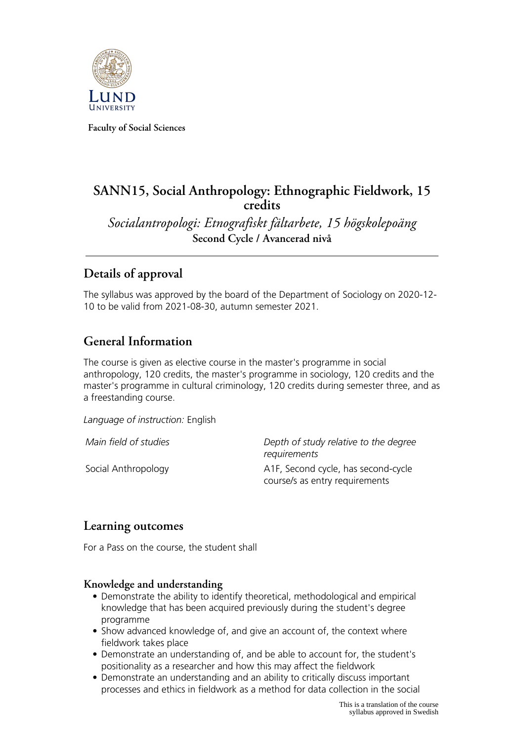

**Faculty of Social Sciences**

# **SANN15, Social Anthropology: Ethnographic Fieldwork, 15 credits**

*Socialantropologi: Etnografiskt fältarbete, 15 högskolepoäng* **Second Cycle / Avancerad nivå**

# **Details of approval**

The syllabus was approved by the board of the Department of Sociology on 2020-12- 10 to be valid from 2021-08-30, autumn semester 2021.

# **General Information**

The course is given as elective course in the master's programme in social anthropology, 120 credits, the master's programme in sociology, 120 credits and the master's programme in cultural criminology, 120 credits during semester three, and as a freestanding course.

*Language of instruction:* English

*Main field of studies Depth of study relative to the degree requirements* Social Anthropology **A1F, Second cycle, has second-cycle** course/s as entry requirements

## **Learning outcomes**

For a Pass on the course, the student shall

#### **Knowledge and understanding**

- Demonstrate the ability to identify theoretical, methodological and empirical knowledge that has been acquired previously during the student's degree programme
- Show advanced knowledge of, and give an account of, the context where fieldwork takes place
- Demonstrate an understanding of, and be able to account for, the student's positionality as a researcher and how this may affect the fieldwork
- Demonstrate an understanding and an ability to critically discuss important processes and ethics in fieldwork as a method for data collection in the social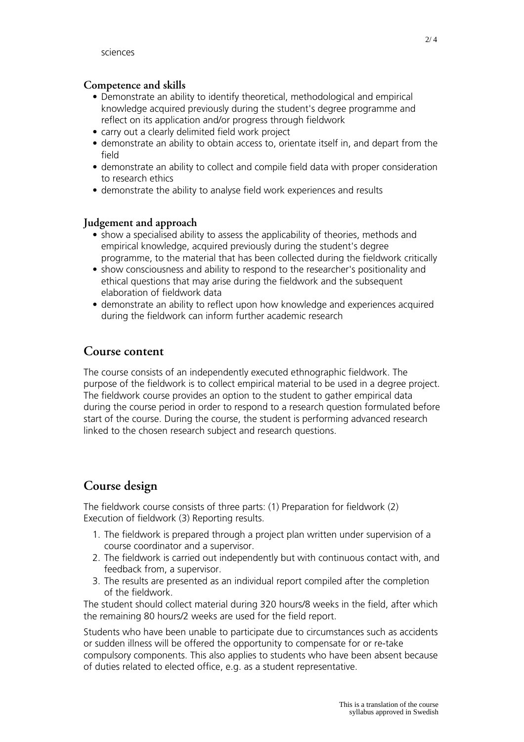#### **Competence and skills**

- Demonstrate an ability to identify theoretical, methodological and empirical knowledge acquired previously during the student's degree programme and reflect on its application and/or progress through fieldwork
- carry out a clearly delimited field work project
- demonstrate an ability to obtain access to, orientate itself in, and depart from the field
- demonstrate an ability to collect and compile field data with proper consideration to research ethics
- demonstrate the ability to analyse field work experiences and results

### **Judgement and approach**

- show a specialised ability to assess the applicability of theories, methods and empirical knowledge, acquired previously during the student's degree programme, to the material that has been collected during the fieldwork critically
- show consciousness and ability to respond to the researcher's positionality and ethical questions that may arise during the fieldwork and the subsequent elaboration of fieldwork data
- demonstrate an ability to reflect upon how knowledge and experiences acquired during the fieldwork can inform further academic research

### **Course content**

The course consists of an independently executed ethnographic fieldwork. The purpose of the fieldwork is to collect empirical material to be used in a degree project. The fieldwork course provides an option to the student to gather empirical data during the course period in order to respond to a research question formulated before start of the course. During the course, the student is performing advanced research linked to the chosen research subject and research questions.

# **Course design**

The fieldwork course consists of three parts: (1) Preparation for fieldwork (2) Execution of fieldwork (3) Reporting results.

- 1. The fieldwork is prepared through a project plan written under supervision of a course coordinator and a supervisor.
- 2. The fieldwork is carried out independently but with continuous contact with, and feedback from, a supervisor.
- 3. The results are presented as an individual report compiled after the completion of the fieldwork.

The student should collect material during 320 hours/8 weeks in the field, after which the remaining 80 hours/2 weeks are used for the field report.

Students who have been unable to participate due to circumstances such as accidents or sudden illness will be offered the opportunity to compensate for or re-take compulsory components. This also applies to students who have been absent because of duties related to elected office, e.g. as a student representative.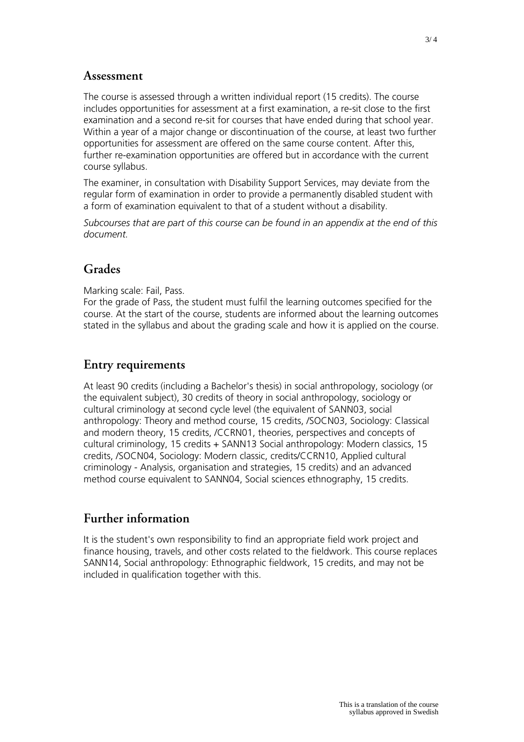### **Assessment**

The course is assessed through a written individual report (15 credits). The course includes opportunities for assessment at a first examination, a re-sit close to the first examination and a second re-sit for courses that have ended during that school year. Within a year of a major change or discontinuation of the course, at least two further opportunities for assessment are offered on the same course content. After this, further re-examination opportunities are offered but in accordance with the current course syllabus.

The examiner, in consultation with Disability Support Services, may deviate from the regular form of examination in order to provide a permanently disabled student with a form of examination equivalent to that of a student without a disability.

*Subcourses that are part of this course can be found in an appendix at the end of this document.*

# **Grades**

Marking scale: Fail, Pass.

For the grade of Pass, the student must fulfil the learning outcomes specified for the course. At the start of the course, students are informed about the learning outcomes stated in the syllabus and about the grading scale and how it is applied on the course.

## **Entry requirements**

At least 90 credits (including a Bachelor's thesis) in social anthropology, sociology (or the equivalent subject), 30 credits of theory in social anthropology, sociology or cultural criminology at second cycle level (the equivalent of SANN03, social anthropology: Theory and method course, 15 credits, /SOCN03, Sociology: Classical and modern theory, 15 credits, /CCRN01, theories, perspectives and concepts of cultural criminology, 15 credits + SANN13 Social anthropology: Modern classics, 15 credits, /SOCN04, Sociology: Modern classic, credits/CCRN10, Applied cultural criminology - Analysis, organisation and strategies, 15 credits) and an advanced method course equivalent to SANN04, Social sciences ethnography, 15 credits.

## **Further information**

It is the student's own responsibility to find an appropriate field work project and finance housing, travels, and other costs related to the fieldwork. This course replaces SANN14, Social anthropology: Ethnographic fieldwork, 15 credits, and may not be included in qualification together with this.